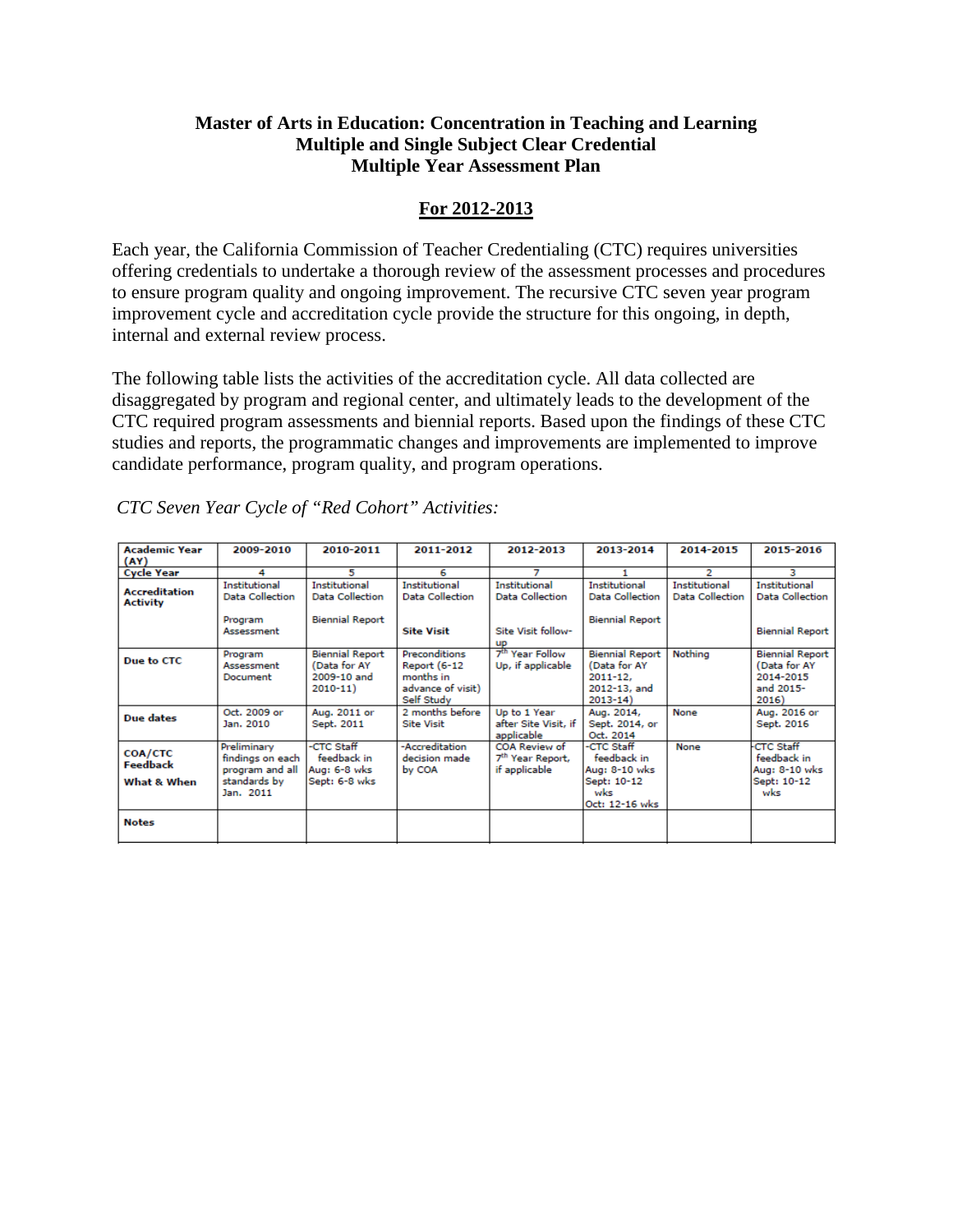# **Master of Arts in Education: Concentration in Teaching and Learning Multiple and Single Subject Clear Credential Multiple Year Assessment Plan**

# **For 2012-2013**

Each year, the California Commission of Teacher Credentialing (CTC) requires universities offering credentials to undertake a thorough review of the assessment processes and procedures to ensure program quality and ongoing improvement. The recursive CTC seven year program improvement cycle and accreditation cycle provide the structure for this ongoing, in depth, internal and external review process.

The following table lists the activities of the accreditation cycle. All data collected are disaggregated by program and regional center, and ultimately leads to the development of the CTC required program assessments and biennial reports. Based upon the findings of these CTC studies and reports, the programmatic changes and improvements are implemented to improve candidate performance, program quality, and program operations.

| <b>Academic Year</b>                             | 2009-2010                                                                       | 2010-2011                                                            | 2011-2012                                                                            | 2012-2013                                                      | 2013-2014                                                                             | 2014-2015                                      | 2015-2016                                                                 |
|--------------------------------------------------|---------------------------------------------------------------------------------|----------------------------------------------------------------------|--------------------------------------------------------------------------------------|----------------------------------------------------------------|---------------------------------------------------------------------------------------|------------------------------------------------|---------------------------------------------------------------------------|
| (AY)                                             |                                                                                 |                                                                      |                                                                                      |                                                                |                                                                                       |                                                |                                                                           |
| <b>Cycle Year</b>                                | 4                                                                               | 5                                                                    | 6                                                                                    | 7                                                              | 1                                                                                     | $\overline{2}$                                 | з                                                                         |
| <b>Accreditation</b><br><b>Activity</b>          | <b>Institutional</b><br>Data Collection                                         | <b>Institutional</b><br>Data Collection                              | <b>Institutional</b><br>Data Collection                                              | <b>Institutional</b><br><b>Data Collection</b>                 | <b>Institutional</b><br><b>Data Collection</b>                                        | <b>Institutional</b><br><b>Data Collection</b> | <b>Institutional</b><br>Data Collection                                   |
|                                                  | Program<br>Assessment                                                           | <b>Biennial Report</b>                                               | <b>Site Visit</b>                                                                    | Site Visit follow-<br><b>UP</b>                                | <b>Biennial Report</b>                                                                |                                                | <b>Biennial Report</b>                                                    |
| Due to CTC                                       | Program<br>Assessment<br>Document                                               | <b>Biennial Report</b><br>(Data for AY<br>2009-10 and<br>$2010 - 11$ | Preconditions<br><b>Report (6-12</b><br>months in<br>advance of visit)<br>Self Study | 7 <sup>th</sup> Year Follow<br>Up, if applicable               | <b>Biennial Report</b><br>(Data for AY<br>$2011 - 12.$<br>2012-13, and<br>$2013 - 14$ | Nothing                                        | <b>Biennial Report</b><br>(Data for AY<br>2014-2015<br>and 2015-<br>2016) |
| <b>Due dates</b>                                 | Oct. 2009 or<br>Jan. 2010                                                       | Aug. 2011 or<br>Sept. 2011                                           | 2 months before<br><b>Site Visit</b>                                                 | Up to 1 Year<br>after Site Visit, if<br>applicable             | Aug. 2014,<br>Sept. 2014, or<br>Oct. 2014                                             | None                                           | Aug. 2016 or<br>Sept. 2016                                                |
| <b>COA/CTC</b><br><b>Feedback</b><br>What & When | Preliminary<br>findings on each<br>program and all<br>standards by<br>Jan. 2011 | -CTC Staff<br>feedback in<br>Aug: 6-8 wks<br>Sept: 6-8 wks           | -Accreditation<br>decision made<br>by COA                                            | COA Review of<br>7 <sup>th</sup> Year Report,<br>if applicable | -CTC Staff<br>feedback in<br>Aug: 8-10 wks<br>Sept: 10-12<br>wks<br>Oct: 12-16 wks    | None                                           | <b>CTC Staff</b><br>feedback in<br>Aug: 8-10 wks<br>Sept: 10-12<br>wks    |
| <b>Notes</b>                                     |                                                                                 |                                                                      |                                                                                      |                                                                |                                                                                       |                                                |                                                                           |

*CTC Seven Year Cycle of "Red Cohort" Activities:*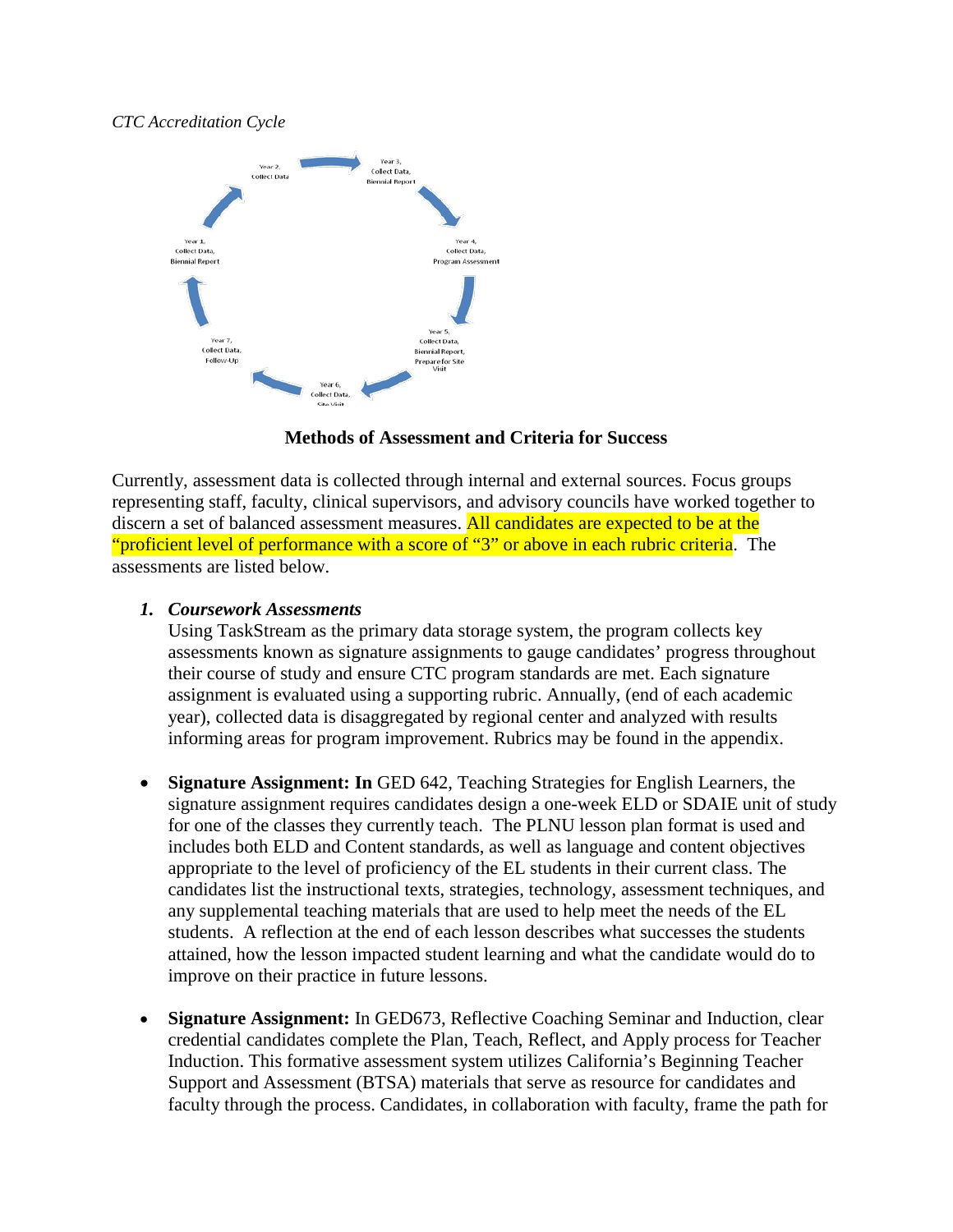#### *CTC Accreditation Cycle*



### **Methods of Assessment and Criteria for Success**

Currently, assessment data is collected through internal and external sources. Focus groups representing staff, faculty, clinical supervisors, and advisory councils have worked together to discern a set of balanced assessment measures. All candidates are expected to be at the "proficient level of performance with a score of "3" or above in each rubric criteria. The assessments are listed below.

#### *1. Coursework Assessments*

Using TaskStream as the primary data storage system, the program collects key assessments known as signature assignments to gauge candidates' progress throughout their course of study and ensure CTC program standards are met. Each signature assignment is evaluated using a supporting rubric. Annually, (end of each academic year), collected data is disaggregated by regional center and analyzed with results informing areas for program improvement. Rubrics may be found in the appendix.

- **Signature Assignment: In** GED 642, Teaching Strategies for English Learners, the signature assignment requires candidates design a one-week ELD or SDAIE unit of study for one of the classes they currently teach. The PLNU lesson plan format is used and includes both ELD and Content standards, as well as language and content objectives appropriate to the level of proficiency of the EL students in their current class. The candidates list the instructional texts, strategies, technology, assessment techniques, and any supplemental teaching materials that are used to help meet the needs of the EL students. A reflection at the end of each lesson describes what successes the students attained, how the lesson impacted student learning and what the candidate would do to improve on their practice in future lessons.
- **Signature Assignment:** In GED673, Reflective Coaching Seminar and Induction, clear credential candidates complete the Plan, Teach, Reflect, and Apply process for Teacher Induction. This formative assessment system utilizes California's Beginning Teacher Support and Assessment (BTSA) materials that serve as resource for candidates and faculty through the process. Candidates, in collaboration with faculty, frame the path for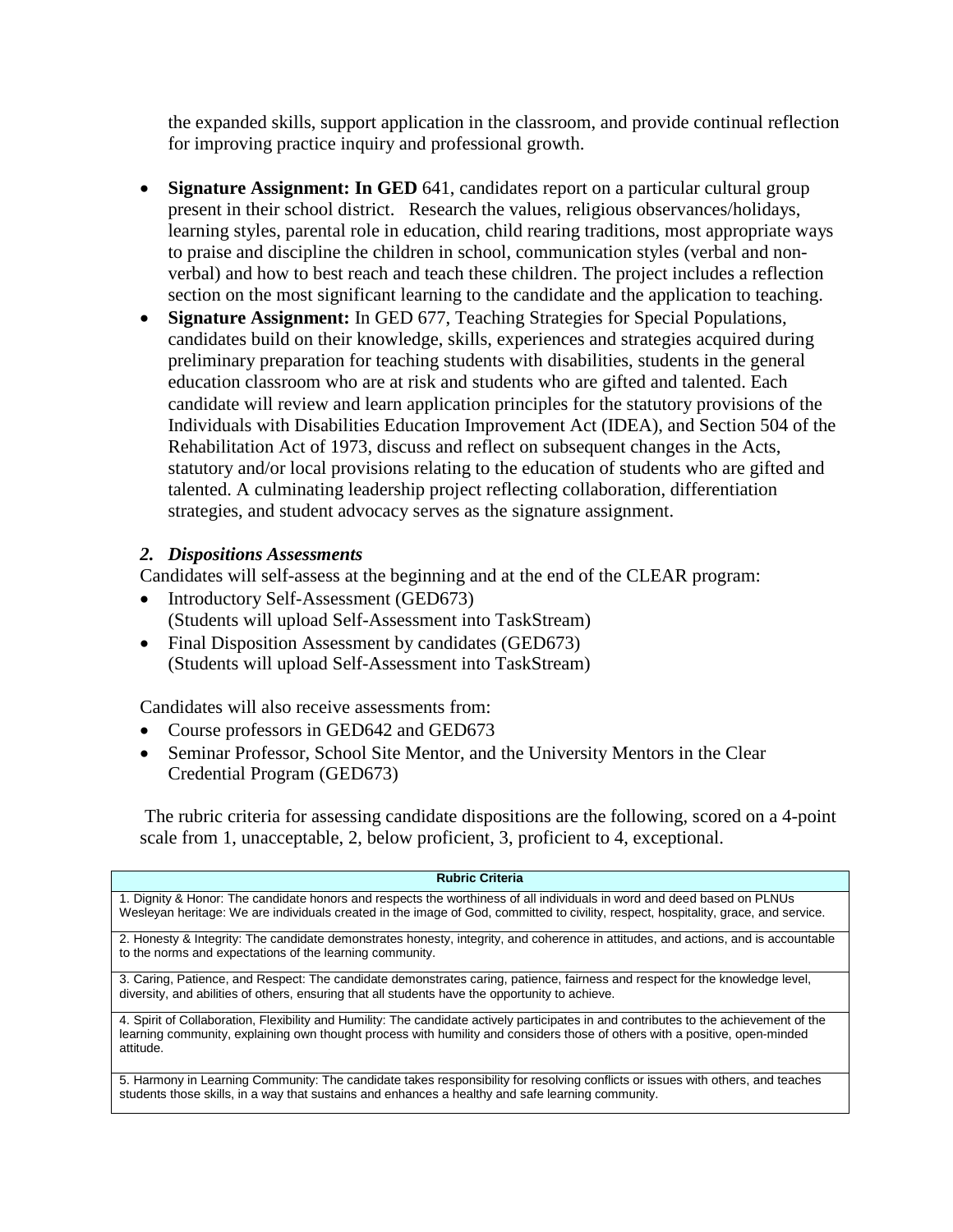the expanded skills, support application in the classroom, and provide continual reflection for improving practice inquiry and professional growth.

- **Signature Assignment: In GED** 641, candidates report on a particular cultural group present in their school district. Research the values, religious observances/holidays, learning styles, parental role in education, child rearing traditions, most appropriate ways to praise and discipline the children in school, communication styles (verbal and nonverbal) and how to best reach and teach these children. The project includes a reflection section on the most significant learning to the candidate and the application to teaching.
- **Signature Assignment:** In GED 677, Teaching Strategies for Special Populations, candidates build on their knowledge, skills, experiences and strategies acquired during preliminary preparation for teaching students with disabilities, students in the general education classroom who are at risk and students who are gifted and talented. Each candidate will review and learn application principles for the statutory provisions of the Individuals with Disabilities Education Improvement Act (IDEA), and Section 504 of the Rehabilitation Act of 1973, discuss and reflect on subsequent changes in the Acts, statutory and/or local provisions relating to the education of students who are gifted and talented. A culminating leadership project reflecting collaboration, differentiation strategies, and student advocacy serves as the signature assignment.

## *2. Dispositions Assessments*

Candidates will self-assess at the beginning and at the end of the CLEAR program:

- Introductory Self-Assessment (GED673) (Students will upload Self-Assessment into TaskStream)
- Final Disposition Assessment by candidates (GED673) (Students will upload Self-Assessment into TaskStream)

Candidates will also receive assessments from:

- Course professors in GED642 and GED673
- Seminar Professor, School Site Mentor, and the University Mentors in the Clear Credential Program (GED673)

The rubric criteria for assessing candidate dispositions are the following, scored on a 4-point scale from 1, unacceptable, 2, below proficient, 3, proficient to 4, exceptional.

| <b>Rubric Criteria</b>                                                                                                                                                                                                                                                             |  |  |  |  |  |  |
|------------------------------------------------------------------------------------------------------------------------------------------------------------------------------------------------------------------------------------------------------------------------------------|--|--|--|--|--|--|
| 1. Dignity & Honor: The candidate honors and respects the worthiness of all individuals in word and deed based on PLNUs<br>Wesleyan heritage: We are individuals created in the image of God, committed to civility, respect, hospitality, grace, and service.                     |  |  |  |  |  |  |
| 2. Honesty & Integrity: The candidate demonstrates honesty, integrity, and coherence in attitudes, and actions, and is accountable<br>to the norms and expectations of the learning community.                                                                                     |  |  |  |  |  |  |
| 3. Caring, Patience, and Respect: The candidate demonstrates caring, patience, fairness and respect for the knowledge level,<br>diversity, and abilities of others, ensuring that all students have the opportunity to achieve.                                                    |  |  |  |  |  |  |
| 4. Spirit of Collaboration, Flexibility and Humility: The candidate actively participates in and contributes to the achievement of the<br>learning community, explaining own thought process with humility and considers those of others with a positive, open-minded<br>attitude. |  |  |  |  |  |  |
| 5. Harmony in Learning Community: The candidate takes responsibility for resolving conflicts or issues with others, and teaches<br>students those skills, in a way that sustains and enhances a healthy and safe learning community.                                               |  |  |  |  |  |  |